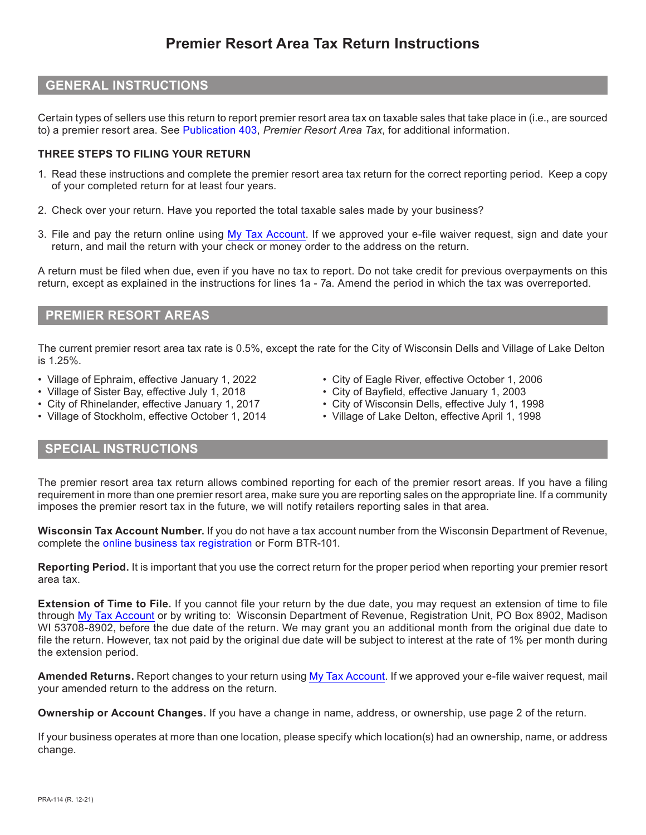# **Premier Resort Area Tax Return Instructions**

### **GENERAL INSTRUCTIONS**

Certain types of sellers use this return to report premier resort area tax on taxable sales that take place in (i.e., are sourced to) a premier resort area. See [Publication 403,](https://www.revenue.wi.gov/DOR%20Publications/pb403.pdf) *Premier Resort Area Tax*, for additional information.

#### **THREE STEPS TO FILING YOUR RETURN**

- 1. Read these instructions and complete the premier resort area tax return for the correct reporting period. Keep a copy of your completed return for at least four years.
- 2. Check over your return. Have you reported the total taxable sales made by your business?
- 3. File and pay the return online using [My Tax Account.](https://tap.revenue.wi.gov/mta/_/) If we approved your e-file waiver request, sign and date your return, and mail the return with your check or money order to the address on the return.

A return must be filed when due, even if you have no tax to report. Do not take credit for previous overpayments on this return, except as explained in the instructions for lines 1a - 7a. Amend the period in which the tax was overreported.

## **PREMIER RESORT AREAS**

The current premier resort area tax rate is 0.5%, except the rate for the City of Wisconsin Dells and Village of Lake Delton is 1.25%.

- Village of Ephraim, effective January 1, 2022
- Village of Sister Bay, effective July 1, 2018
- City of Rhinelander, effective January 1, 2017
- Village of Stockholm, effective October 1, 2014
- City of Eagle River, effective October 1, 2006
- City of Bayfield, effective January 1, 2003
- City of Wisconsin Dells, effective July 1, 1998
- Village of Lake Delton, effective April 1, 1998

# **SPECIAL INSTRUCTIONS**

The premier resort area tax return allows combined reporting for each of the premier resort areas. If you have a filing requirement in more than one premier resort area, make sure you are reporting sales on the appropriate line. If a community imposes the premier resort tax in the future, we will notify retailers reporting sales in that area.

**Wisconsin Tax Account Number.** If you do not have a tax account number from the Wisconsin Department of Revenue, complete the [online business tax registration](https://tap.revenue.wi.gov/BTR/_/) or Form BTR-101.

**Reporting Period.** It is important that you use the correct return for the proper period when reporting your premier resort area tax.

**Extension of Time to File.** If you cannot file your return by the due date, you may request an extension of time to file through [My Tax Account](https://tap.revenue.wi.gov/mta/_/) or by writing to: Wisconsin Department of Revenue, Registration Unit, PO Box 8902, Madison WI 53708-8902, before the due date of the return. We may grant you an additional month from the original due date to file the return. However, tax not paid by the original due date will be subject to interest at the rate of 1% per month during the extension period.

**Amended Returns.** Report changes to your return using [My Tax Account](https://tap.revenue.wi.gov/mta/_/). If we approved your e-file waiver request, mail your amended return to the address on the return.

**Ownership or Account Changes.** If you have a change in name, address, or ownership, use page 2 of the return.

If your business operates at more than one location, please specify which location(s) had an ownership, name, or address change.